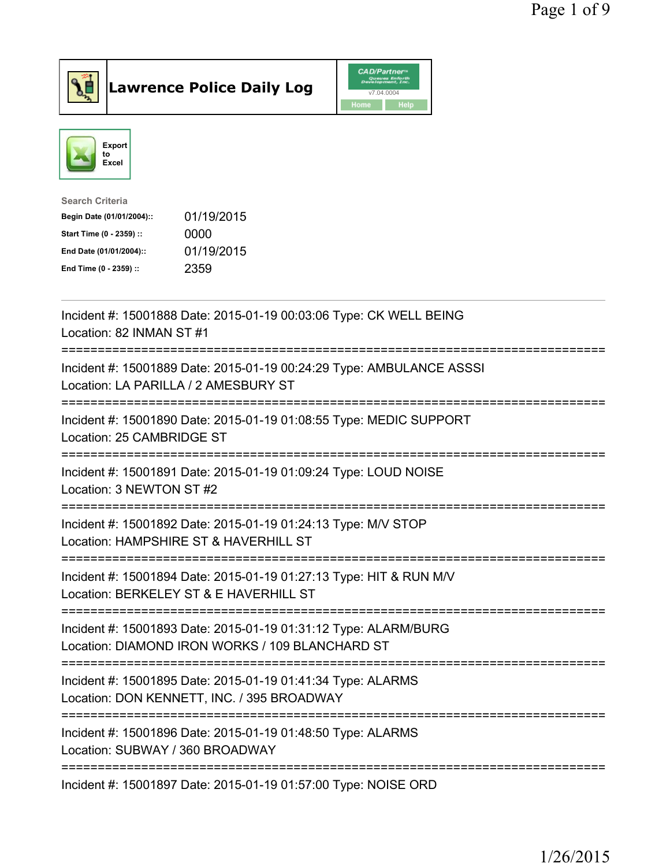



| <b>Search Criteria</b>    |            |
|---------------------------|------------|
| Begin Date (01/01/2004):: | 01/19/2015 |
| Start Time (0 - 2359) ::  | 0000       |
| End Date (01/01/2004)::   | 01/19/2015 |
| End Time (0 - 2359) ::    | 2359       |
|                           |            |

| Incident #: 15001888 Date: 2015-01-19 00:03:06 Type: CK WELL BEING<br>Location: 82 INMAN ST #1                                                                  |
|-----------------------------------------------------------------------------------------------------------------------------------------------------------------|
| Incident #: 15001889 Date: 2015-01-19 00:24:29 Type: AMBULANCE ASSSI<br>Location: LA PARILLA / 2 AMESBURY ST<br>--------------------                            |
| Incident #: 15001890 Date: 2015-01-19 01:08:55 Type: MEDIC SUPPORT<br>Location: 25 CAMBRIDGE ST<br>----------------                                             |
| Incident #: 15001891 Date: 2015-01-19 01:09:24 Type: LOUD NOISE<br>Location: 3 NEWTON ST #2                                                                     |
| Incident #: 15001892 Date: 2015-01-19 01:24:13 Type: M/V STOP<br>Location: HAMPSHIRE ST & HAVERHILL ST<br>=========================                             |
| Incident #: 15001894 Date: 2015-01-19 01:27:13 Type: HIT & RUN M/V<br>Location: BERKELEY ST & E HAVERHILL ST<br>=============================                   |
| Incident #: 15001893 Date: 2015-01-19 01:31:12 Type: ALARM/BURG<br>Location: DIAMOND IRON WORKS / 109 BLANCHARD ST                                              |
| ======================================<br>Incident #: 15001895 Date: 2015-01-19 01:41:34 Type: ALARMS<br>Location: DON KENNETT, INC. / 395 BROADWAY             |
| :=====================================<br>===================<br>Incident #: 15001896 Date: 2015-01-19 01:48:50 Type: ALARMS<br>Location: SUBWAY / 360 BROADWAY |
| ========================<br>-------------<br>Incident #: 15001897 Date: 2015-01-19 01:57:00 Type: NOISE ORD                                                     |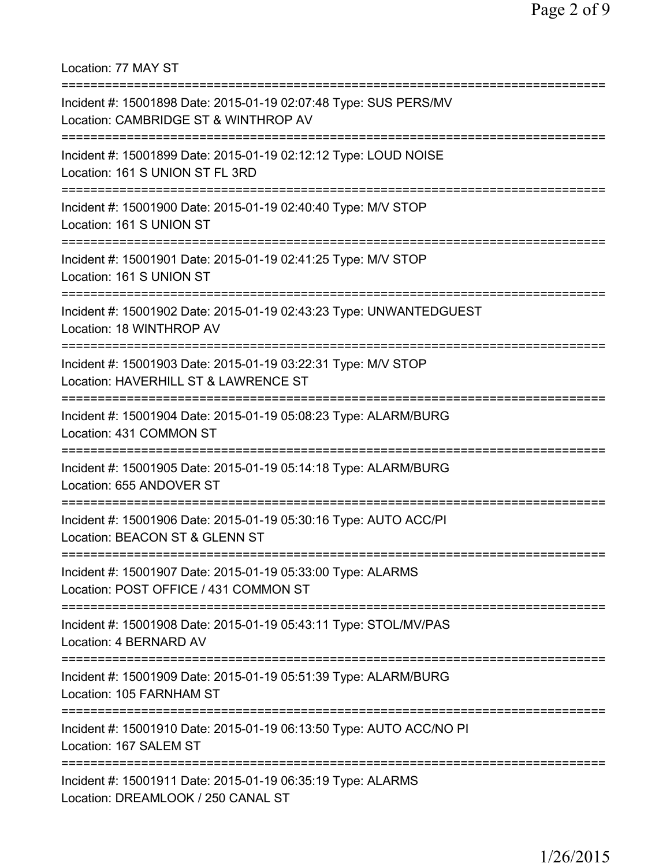Location: 77 MAY ST =========================================================================== Incident #: 15001898 Date: 2015-01-19 02:07:48 Type: SUS PERS/MV Location: CAMBRIDGE ST & WINTHROP AV =========================================================================== Incident #: 15001899 Date: 2015-01-19 02:12:12 Type: LOUD NOISE Location: 161 S UNION ST FL 3RD =========================================================================== Incident #: 15001900 Date: 2015-01-19 02:40:40 Type: M/V STOP Location: 161 S UNION ST =========================================================================== Incident #: 15001901 Date: 2015-01-19 02:41:25 Type: M/V STOP Location: 161 S UNION ST =========================================================================== Incident #: 15001902 Date: 2015-01-19 02:43:23 Type: UNWANTEDGUEST Location: 18 WINTHROP AV =========================================================================== Incident #: 15001903 Date: 2015-01-19 03:22:31 Type: M/V STOP Location: HAVERHILL ST & LAWRENCE ST =========================================================================== Incident #: 15001904 Date: 2015-01-19 05:08:23 Type: ALARM/BURG Location: 431 COMMON ST =========================================================================== Incident #: 15001905 Date: 2015-01-19 05:14:18 Type: ALARM/BURG Location: 655 ANDOVER ST =========================================================================== Incident #: 15001906 Date: 2015-01-19 05:30:16 Type: AUTO ACC/PI Location: BEACON ST & GLENN ST =========================================================================== Incident #: 15001907 Date: 2015-01-19 05:33:00 Type: ALARMS Location: POST OFFICE / 431 COMMON ST =========================================================================== Incident #: 15001908 Date: 2015-01-19 05:43:11 Type: STOL/MV/PAS Location: 4 BERNARD AV =========================================================================== Incident #: 15001909 Date: 2015-01-19 05:51:39 Type: ALARM/BURG Location: 105 FARNHAM ST =========================================================================== Incident #: 15001910 Date: 2015-01-19 06:13:50 Type: AUTO ACC/NO PI Location: 167 SALEM ST =========================================================================== Incident #: 15001911 Date: 2015-01-19 06:35:19 Type: ALARMS Location: DREAMLOOK / 250 CANAL ST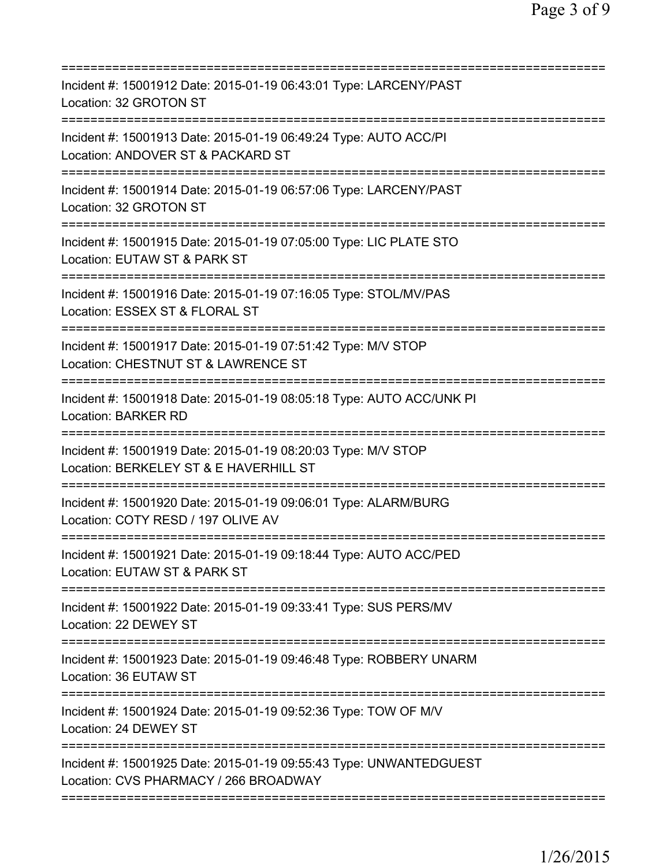| Incident #: 15001912 Date: 2015-01-19 06:43:01 Type: LARCENY/PAST<br>Location: 32 GROTON ST                                                 |
|---------------------------------------------------------------------------------------------------------------------------------------------|
| Incident #: 15001913 Date: 2015-01-19 06:49:24 Type: AUTO ACC/PI<br>Location: ANDOVER ST & PACKARD ST                                       |
| Incident #: 15001914 Date: 2015-01-19 06:57:06 Type: LARCENY/PAST<br>Location: 32 GROTON ST                                                 |
| Incident #: 15001915 Date: 2015-01-19 07:05:00 Type: LIC PLATE STO<br>Location: EUTAW ST & PARK ST                                          |
| Incident #: 15001916 Date: 2015-01-19 07:16:05 Type: STOL/MV/PAS<br>Location: ESSEX ST & FLORAL ST                                          |
| Incident #: 15001917 Date: 2015-01-19 07:51:42 Type: M/V STOP<br>Location: CHESTNUT ST & LAWRENCE ST                                        |
| Incident #: 15001918 Date: 2015-01-19 08:05:18 Type: AUTO ACC/UNK PI<br><b>Location: BARKER RD</b>                                          |
| Incident #: 15001919 Date: 2015-01-19 08:20:03 Type: M/V STOP<br>Location: BERKELEY ST & E HAVERHILL ST<br>================================ |
| Incident #: 15001920 Date: 2015-01-19 09:06:01 Type: ALARM/BURG<br>Location: COTY RESD / 197 OLIVE AV                                       |
| Incident #: 15001921 Date: 2015-01-19 09:18:44 Type: AUTO ACC/PED<br>Location: EUTAW ST & PARK ST                                           |
| Incident #: 15001922 Date: 2015-01-19 09:33:41 Type: SUS PERS/MV<br>Location: 22 DEWEY ST                                                   |
| Incident #: 15001923 Date: 2015-01-19 09:46:48 Type: ROBBERY UNARM<br>Location: 36 EUTAW ST                                                 |
| Incident #: 15001924 Date: 2015-01-19 09:52:36 Type: TOW OF M/V<br>Location: 24 DEWEY ST                                                    |
|                                                                                                                                             |
| Incident #: 15001925 Date: 2015-01-19 09:55:43 Type: UNWANTEDGUEST<br>Location: CVS PHARMACY / 266 BROADWAY                                 |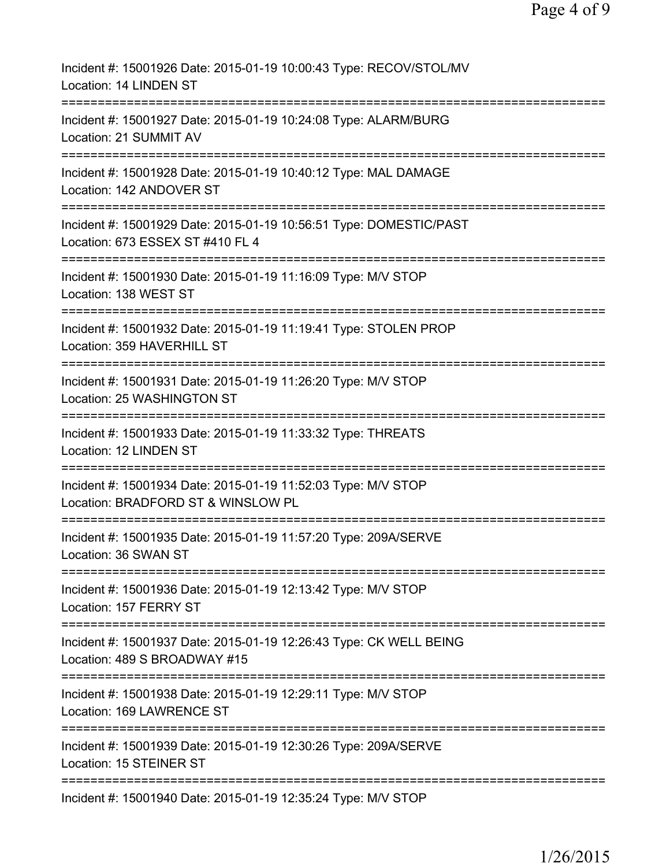| Incident #: 15001926 Date: 2015-01-19 10:00:43 Type: RECOV/STOL/MV<br>Location: 14 LINDEN ST                                  |
|-------------------------------------------------------------------------------------------------------------------------------|
| Incident #: 15001927 Date: 2015-01-19 10:24:08 Type: ALARM/BURG<br>Location: 21 SUMMIT AV                                     |
| Incident #: 15001928 Date: 2015-01-19 10:40:12 Type: MAL DAMAGE<br>Location: 142 ANDOVER ST                                   |
| Incident #: 15001929 Date: 2015-01-19 10:56:51 Type: DOMESTIC/PAST<br>Location: 673 ESSEX ST #410 FL 4                        |
| Incident #: 15001930 Date: 2015-01-19 11:16:09 Type: M/V STOP<br>Location: 138 WEST ST                                        |
| Incident #: 15001932 Date: 2015-01-19 11:19:41 Type: STOLEN PROP<br>Location: 359 HAVERHILL ST                                |
| Incident #: 15001931 Date: 2015-01-19 11:26:20 Type: M/V STOP<br>Location: 25 WASHINGTON ST                                   |
| Incident #: 15001933 Date: 2015-01-19 11:33:32 Type: THREATS<br>Location: 12 LINDEN ST<br>:================================== |
| Incident #: 15001934 Date: 2015-01-19 11:52:03 Type: M/V STOP<br>Location: BRADFORD ST & WINSLOW PL                           |
| Incident #: 15001935 Date: 2015-01-19 11:57:20 Type: 209A/SERVE<br>Location: 36 SWAN ST                                       |
| ========================<br>Incident #: 15001936 Date: 2015-01-19 12:13:42 Type: M/V STOP<br>Location: 157 FERRY ST           |
| Incident #: 15001937 Date: 2015-01-19 12:26:43 Type: CK WELL BEING<br>Location: 489 S BROADWAY #15                            |
| Incident #: 15001938 Date: 2015-01-19 12:29:11 Type: M/V STOP<br>Location: 169 LAWRENCE ST                                    |
| Incident #: 15001939 Date: 2015-01-19 12:30:26 Type: 209A/SERVE<br>Location: 15 STEINER ST                                    |
| Incident #: 15001940 Date: 2015-01-19 12:35:24 Type: M/V STOP                                                                 |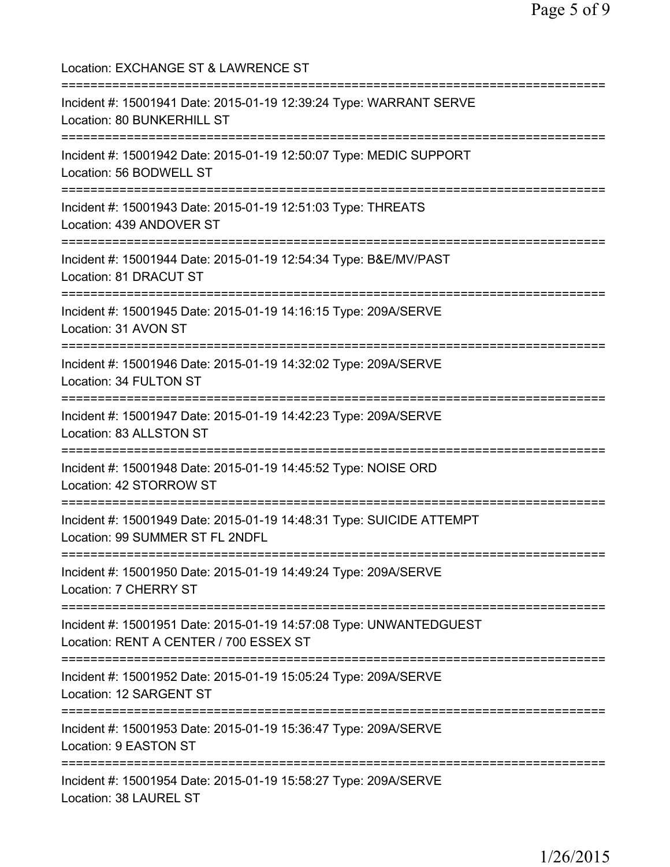Location: EXCHANGE ST & LAWRENCE ST =========================================================================== Incident #: 15001941 Date: 2015-01-19 12:39:24 Type: WARRANT SERVE Location: 80 BUNKERHILL ST =========================================================================== Incident #: 15001942 Date: 2015-01-19 12:50:07 Type: MEDIC SUPPORT Location: 56 BODWELL ST =========================================================================== Incident #: 15001943 Date: 2015-01-19 12:51:03 Type: THREATS Location: 439 ANDOVER ST =========================================================================== Incident #: 15001944 Date: 2015-01-19 12:54:34 Type: B&E/MV/PAST Location: 81 DRACUT ST =========================================================================== Incident #: 15001945 Date: 2015-01-19 14:16:15 Type: 209A/SERVE Location: 31 AVON ST =========================================================================== Incident #: 15001946 Date: 2015-01-19 14:32:02 Type: 209A/SERVE Location: 34 FULTON ST =========================================================================== Incident #: 15001947 Date: 2015-01-19 14:42:23 Type: 209A/SERVE Location: 83 ALLSTON ST =========================================================================== Incident #: 15001948 Date: 2015-01-19 14:45:52 Type: NOISE ORD Location: 42 STORROW ST =========================================================================== Incident #: 15001949 Date: 2015-01-19 14:48:31 Type: SUICIDE ATTEMPT Location: 99 SUMMER ST FL 2NDFL =========================================================================== Incident #: 15001950 Date: 2015-01-19 14:49:24 Type: 209A/SERVE Location: 7 CHERRY ST =========================================================================== Incident #: 15001951 Date: 2015-01-19 14:57:08 Type: UNWANTEDGUEST Location: RENT A CENTER / 700 ESSEX ST =========================================================================== Incident #: 15001952 Date: 2015-01-19 15:05:24 Type: 209A/SERVE Location: 12 SARGENT ST =========================================================================== Incident #: 15001953 Date: 2015-01-19 15:36:47 Type: 209A/SERVE Location: 9 EASTON ST =========================================================================== Incident #: 15001954 Date: 2015-01-19 15:58:27 Type: 209A/SERVE Location: 38 LAUREL ST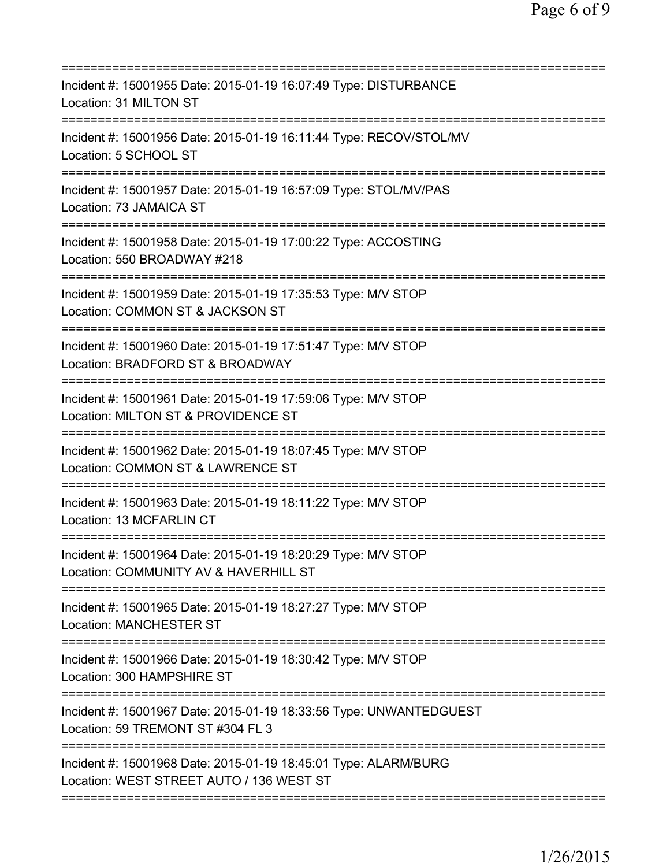| Incident #: 15001955 Date: 2015-01-19 16:07:49 Type: DISTURBANCE<br>Location: 31 MILTON ST                                                                    |
|---------------------------------------------------------------------------------------------------------------------------------------------------------------|
| Incident #: 15001956 Date: 2015-01-19 16:11:44 Type: RECOV/STOL/MV<br>Location: 5 SCHOOL ST                                                                   |
| Incident #: 15001957 Date: 2015-01-19 16:57:09 Type: STOL/MV/PAS<br>Location: 73 JAMAICA ST                                                                   |
| Incident #: 15001958 Date: 2015-01-19 17:00:22 Type: ACCOSTING<br>Location: 550 BROADWAY #218                                                                 |
| Incident #: 15001959 Date: 2015-01-19 17:35:53 Type: M/V STOP<br>Location: COMMON ST & JACKSON ST                                                             |
| ========================<br>Incident #: 15001960 Date: 2015-01-19 17:51:47 Type: M/V STOP<br>Location: BRADFORD ST & BROADWAY<br>============================ |
| Incident #: 15001961 Date: 2015-01-19 17:59:06 Type: M/V STOP<br>Location: MILTON ST & PROVIDENCE ST                                                          |
| Incident #: 15001962 Date: 2015-01-19 18:07:45 Type: M/V STOP<br>Location: COMMON ST & LAWRENCE ST<br>==============================<br>==============        |
| Incident #: 15001963 Date: 2015-01-19 18:11:22 Type: M/V STOP<br><b>Location: 13 MCFARLIN CT</b>                                                              |
| Incident #: 15001964 Date: 2015-01-19 18:20:29 Type: M/V STOP<br>Location: COMMUNITY AV & HAVERHILL ST                                                        |
| ;===================================<br>Incident #: 15001965 Date: 2015-01-19 18:27:27 Type: M/V STOP<br><b>Location: MANCHESTER ST</b>                       |
| Incident #: 15001966 Date: 2015-01-19 18:30:42 Type: M/V STOP<br>Location: 300 HAMPSHIRE ST                                                                   |
| Incident #: 15001967 Date: 2015-01-19 18:33:56 Type: UNWANTEDGUEST<br>Location: 59 TREMONT ST #304 FL 3                                                       |
| Incident #: 15001968 Date: 2015-01-19 18:45:01 Type: ALARM/BURG<br>Location: WEST STREET AUTO / 136 WEST ST                                                   |
|                                                                                                                                                               |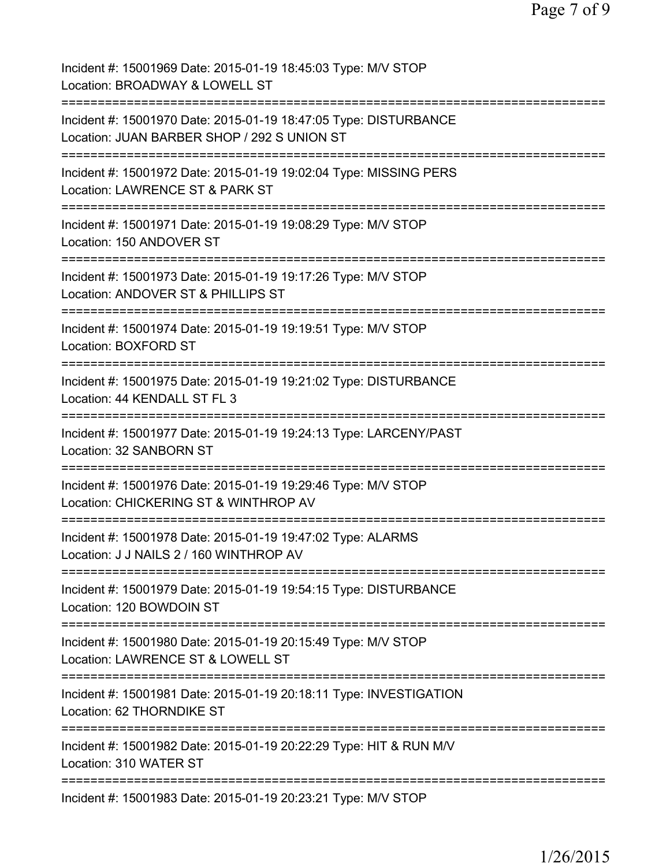| Incident #: 15001969 Date: 2015-01-19 18:45:03 Type: M/V STOP<br>Location: BROADWAY & LOWELL ST                                          |
|------------------------------------------------------------------------------------------------------------------------------------------|
| Incident #: 15001970 Date: 2015-01-19 18:47:05 Type: DISTURBANCE<br>Location: JUAN BARBER SHOP / 292 S UNION ST                          |
| Incident #: 15001972 Date: 2015-01-19 19:02:04 Type: MISSING PERS<br>Location: LAWRENCE ST & PARK ST                                     |
| Incident #: 15001971 Date: 2015-01-19 19:08:29 Type: M/V STOP<br>Location: 150 ANDOVER ST                                                |
| Incident #: 15001973 Date: 2015-01-19 19:17:26 Type: M/V STOP<br>Location: ANDOVER ST & PHILLIPS ST                                      |
| Incident #: 15001974 Date: 2015-01-19 19:19:51 Type: M/V STOP<br>Location: BOXFORD ST                                                    |
| Incident #: 15001975 Date: 2015-01-19 19:21:02 Type: DISTURBANCE<br>Location: 44 KENDALL ST FL 3<br>:=================================== |
| Incident #: 15001977 Date: 2015-01-19 19:24:13 Type: LARCENY/PAST<br>Location: 32 SANBORN ST                                             |
| Incident #: 15001976 Date: 2015-01-19 19:29:46 Type: M/V STOP<br>Location: CHICKERING ST & WINTHROP AV                                   |
| Incident #: 15001978 Date: 2015-01-19 19:47:02 Type: ALARMS<br>Location: J J NAILS 2 / 160 WINTHROP AV                                   |
| Incident #: 15001979 Date: 2015-01-19 19:54:15 Type: DISTURBANCE<br>Location: 120 BOWDOIN ST                                             |
| Incident #: 15001980 Date: 2015-01-19 20:15:49 Type: M/V STOP<br>Location: LAWRENCE ST & LOWELL ST                                       |
| Incident #: 15001981 Date: 2015-01-19 20:18:11 Type: INVESTIGATION<br>Location: 62 THORNDIKE ST                                          |
| Incident #: 15001982 Date: 2015-01-19 20:22:29 Type: HIT & RUN M/V<br>Location: 310 WATER ST                                             |
| Incident #: 15001983 Date: 2015-01-19 20:23:21 Type: M/V STOP                                                                            |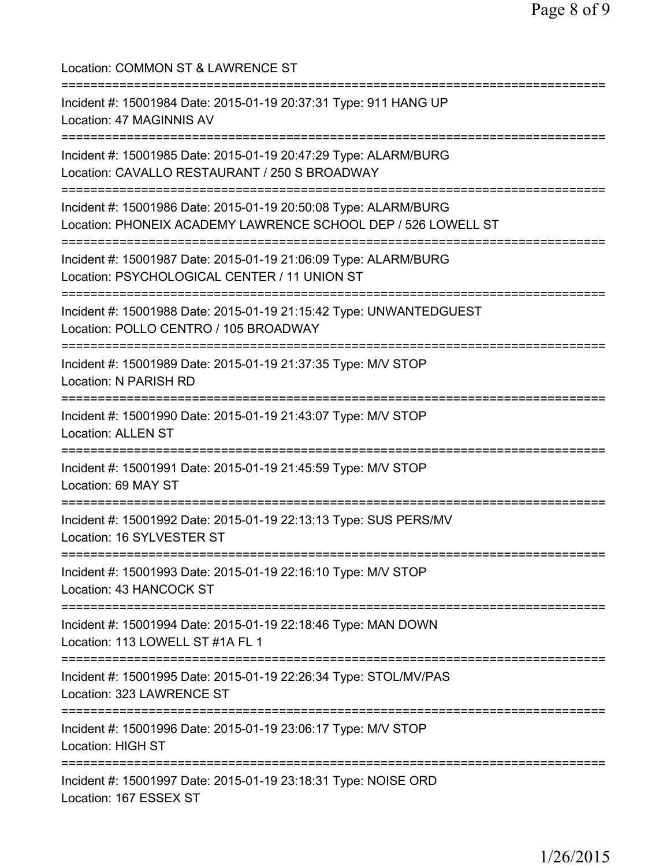| Location: COMMON ST & LAWRENCE ST                                                                                                |
|----------------------------------------------------------------------------------------------------------------------------------|
| Incident #: 15001984 Date: 2015-01-19 20:37:31 Type: 911 HANG UP<br>Location: 47 MAGINNIS AV                                     |
| Incident #: 15001985 Date: 2015-01-19 20:47:29 Type: ALARM/BURG<br>Location: CAVALLO RESTAURANT / 250 S BROADWAY                 |
| Incident #: 15001986 Date: 2015-01-19 20:50:08 Type: ALARM/BURG<br>Location: PHONEIX ACADEMY LAWRENCE SCHOOL DEP / 526 LOWELL ST |
| Incident #: 15001987 Date: 2015-01-19 21:06:09 Type: ALARM/BURG<br>Location: PSYCHOLOGICAL CENTER / 11 UNION ST                  |
| Incident #: 15001988 Date: 2015-01-19 21:15:42 Type: UNWANTEDGUEST<br>Location: POLLO CENTRO / 105 BROADWAY                      |
| Incident #: 15001989 Date: 2015-01-19 21:37:35 Type: M/V STOP<br>Location: N PARISH RD                                           |
| Incident #: 15001990 Date: 2015-01-19 21:43:07 Type: M/V STOP<br><b>Location: ALLEN ST</b>                                       |
| Incident #: 15001991 Date: 2015-01-19 21:45:59 Type: M/V STOP<br>Location: 69 MAY ST                                             |
| Incident #: 15001992 Date: 2015-01-19 22:13:13 Type: SUS PERS/MV<br>Location: 16 SYLVESTER ST                                    |
| Incident #: 15001993 Date: 2015-01-19 22:16:10 Type: M/V STOP<br>Location: 43 HANCOCK ST                                         |
| Incident #: 15001994 Date: 2015-01-19 22:18:46 Type: MAN DOWN<br>Location: 113 LOWELL ST #1A FL 1                                |
| =========<br>Incident #: 15001995 Date: 2015-01-19 22:26:34 Type: STOL/MV/PAS<br>Location: 323 LAWRENCE ST                       |
| ------------<br>Incident #: 15001996 Date: 2015-01-19 23:06:17 Type: M/V STOP<br>Location: HIGH ST                               |
| =====================<br>Incident #: 15001997 Date: 2015-01-19 23:18:31 Type: NOISE ORD<br>Location: 167 ESSEX ST                |